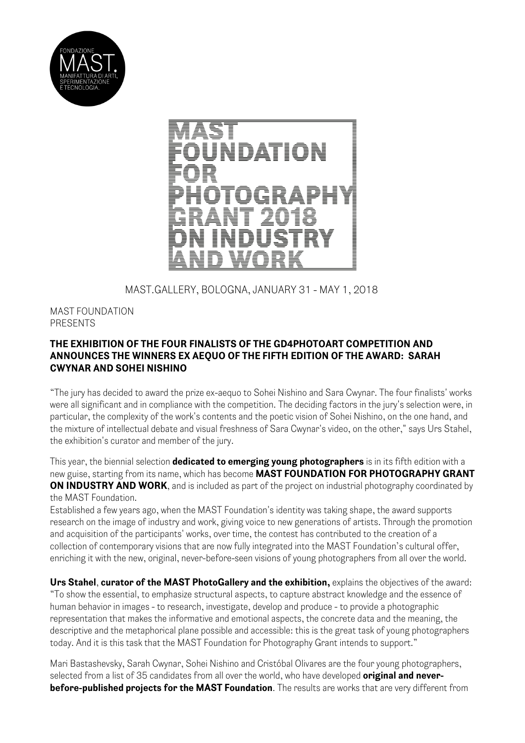



MAST.GALLERY, BOLOGNA, JANUARY 31 - MAY 1, 2018

## MAST FOUNDATION PRESENTS

## **THE EXHIBITION OF THE FOUR FINALISTS OF THE GD4PHOTOART COMPETITION AND ANNOUNCES THE WINNERS EX AEQUO OF THE FIFTH EDITION OF THE AWARD: SARAH CWYNAR AND SOHEI NISHINO**

"The jury has decided to award the prize ex-aequo to Sohei Nishino and Sara Cwynar. The four finalists' works were all significant and in compliance with the competition. The deciding factors in the jury's selection were, in particular, the complexity of the work's contents and the poetic vision of Sohei Nishino, on the one hand, and the mixture of intellectual debate and visual freshness of Sara Cwynar's video, on the other," says Urs Stahel, the exhibition's curator and member of the jury.

This year, the biennial selection **dedicated to emerging young photographers** is in its fifth edition with a new guise, starting from its name, which has become **MAST FOUNDATION FOR PHOTOGRAPHY GRANT ON INDUSTRY AND WORK**, and is included as part of the project on industrial photography coordinated by the MAST Foundation.

Established a few years ago, when the MAST Foundation's identity was taking shape, the award supports research on the image of industry and work, giving voice to new generations of artists. Through the promotion and acquisition of the participants' works, over time, the contest has contributed to the creation of a collection of contemporary visions that are now fully integrated into the MAST Foundation's cultural offer, enriching it with the new, original, never-before-seen visions of young photographers from all over the world.

**Urs Stahel**, **curator of the MAST PhotoGallery and the exhibition,** explains the objectives of the award: "To show the essential, to emphasize structural aspects, to capture abstract knowledge and the essence of human behavior in images - to research, investigate, develop and produce - to provide a photographic representation that makes the informative and emotional aspects, the concrete data and the meaning, the descriptive and the metaphorical plane possible and accessible: this is the great task of young photographers today. And it is this task that the MAST Foundation for Photography Grant intends to support."

Mari Bastashevsky, Sarah Cwynar, Sohei Nishino and Cristóbal Olivares are the four young photographers, selected from a list of 35 candidates from all over the world, who have developed **original and neverbefore-published projects for the MAST Foundation**. The results are works that are very different from